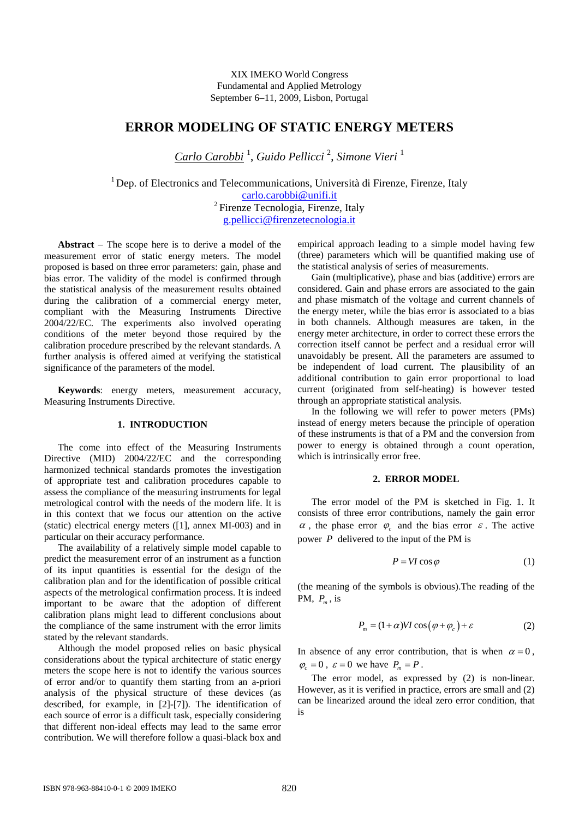XIX IMEKO World Congress Fundamental and Applied Metrology September 6−11, 2009, Lisbon, Portugal

# **ERROR MODELING OF STATIC ENERGY METERS**

*Carlo Carobbi* <sup>1</sup> , *Guido Pellicci* <sup>2</sup> , *Simone Vieri* <sup>1</sup>

<sup>1</sup> Dep. of Electronics and Telecommunications, Università di Firenze, Firenze, Italy [carlo.carobbi@unifi.it](mailto:carlo.carobbi@unifi.it)  $2$  Firenze Tecnologia, Firenze, Italy [g.pellicci@firenzetecnologia.it](mailto:g.pellicci@firenzetecnologia.it)

**Abstract** − The scope here is to derive a model of the measurement error of static energy meters. The model proposed is based on three error parameters: gain, phase and bias error. The validity of the model is confirmed through the statistical analysis of the measurement results obtained during the calibration of a commercial energy meter, compliant with the Measuring Instruments Directive 2004/22/EC. The experiments also involved operating conditions of the meter beyond those required by the calibration procedure prescribed by the relevant standards. A further analysis is offered aimed at verifying the statistical significance of the parameters of the model.

**Keywords**: energy meters, measurement accuracy, Measuring Instruments Directive.

## **1. INTRODUCTION**

The come into effect of the Measuring Instruments Directive (MID) 2004/22/EC and the corresponding harmonized technical standards promotes the investigation of appropriate test and calibration procedures capable to assess the compliance of the measuring instruments for legal metrological control with the needs of the modern life. It is in this context that we focus our attention on the active (static) electrical energy meters ([1], annex MI-003) and in particular on their accuracy performance.

The availability of a relatively simple model capable to predict the measurement error of an instrument as a function of its input quantities is essential for the design of the calibration plan and for the identification of possible critical aspects of the metrological confirmation process. It is indeed important to be aware that the adoption of different calibration plans might lead to different conclusions about the compliance of the same instrument with the error limits stated by the relevant standards.

<span id="page-0-0"></span>Although the model proposed relies on basic physical considerations about the typical architecture of static energy meters the scope here is not to identify the various sources of error and/or to quantify them starting from an a-priori analysis of the physical structure of these devices (as described, for example, in [2]-[7]). The identification of each source of error is a difficult task, especially considering that different non-ideal effects may lead to the same error contribution. We will therefore follow a quasi-black box and

empirical approach leading to a simple model having few (three) parameters which will be quantified making use of the statistical analysis of series of measurements.

Gain (multiplicative), phase and bias (additive) errors are considered. Gain and phase errors are associated to the gain and phase mismatch of the voltage and current channels of the energy meter, while the bias error is associated to a bias in both channels. Although measures are taken, in the energy meter architecture, in order to correct these errors the correction itself cannot be perfect and a residual error will unavoidably be present. All the parameters are assumed to be independent of load current. The plausibility of an additional contribution to gain error proportional to load current (originated from self-heating) is however tested through an appropriate statistical analysis.

In the following we will refer to power meters (PMs) instead of energy meters because the principle of operation of these instruments is that of a PM and the conversion from power to energy is obtained through a count operation, which is intrinsically error free.

#### **2. ERROR MODEL**

The error model of the PM is sketched in Fig. 1. It consists of three error contributions, namely the gain error  $\alpha$ , the phase error  $\varphi$  and the bias error  $\varepsilon$ . The active power *P* delivered to the input of the PM is

$$
P = VI\cos\varphi\tag{1}
$$

(the meaning of the symbols is obvious).The reading of the PM, *Pm* , is

$$
P_m = (1 + \alpha)VI \cos(\varphi + \varphi_c) + \varepsilon \tag{2}
$$

In absence of any error contribution, that is when  $\alpha = 0$ ,  $\varphi_c = 0$ ,  $\varepsilon = 0$  we have  $P_m = P$ .

The error model, as expressed by [\(2\)](#page-0-0) is non-linear. However, as it is verified in practice, errors are small and [\(2\)](#page-0-0) can be linearized around the ideal zero error condition, that is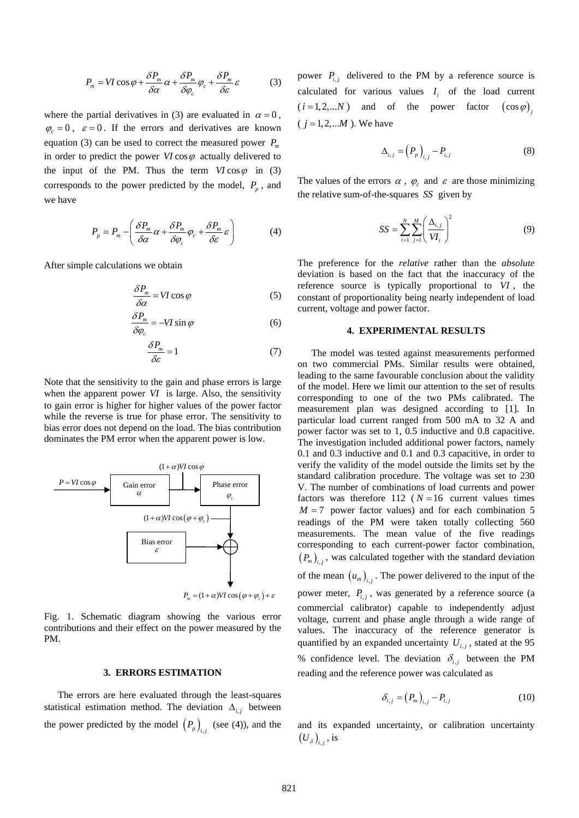$$
P_m \simeq VI\cos\varphi + \frac{\delta P_m}{\delta \alpha} \alpha + \frac{\delta P_m}{\delta \varphi_c} \varphi_c + \frac{\delta P_m}{\delta \varepsilon} \varepsilon \tag{3}
$$

<span id="page-1-2"></span><span id="page-1-0"></span>where the partial derivatives in [\(3\)](#page-1-0) are evaluated in  $\alpha = 0$ ,  $\varphi_c = 0$ ,  $\varepsilon = 0$ . If the errors and derivatives are known equation [\(3\)](#page-1-0) can be used to correct the measured power  $P_m$ in order to predict the power  $VI \cos \varphi$  actually delivered to the input of the PM. Thus the term  $VI \cos \varphi$  in [\(3\)](#page-1-0) corresponds to the power predicted by the model,  $P_p$ , and we have

$$
P_p \simeq P_m - \left(\frac{\delta P_m}{\delta \alpha} \alpha + \frac{\delta P_m}{\delta \varphi_c} \varphi_c + \frac{\delta P_m}{\delta \varepsilon} \varepsilon\right) \tag{4}
$$

<span id="page-1-1"></span>After simple calculations we obtain

$$
\frac{\delta P_m}{\delta \alpha} = VI \cos \varphi \tag{5}
$$

$$
\frac{\delta P_m}{\delta \varphi_c} = -VI \sin \varphi \tag{6}
$$

$$
\frac{\delta P_m}{\delta \varepsilon} = 1\tag{7}
$$

Note that the sensitivity to the gain and phase errors is large when the apparent power *VI* is large. Also, the sensitivity to gain error is higher for higher values of the power factor while the reverse is true for phase error. The sensitivity to bias error does not depend on the load. The bias contribution dominates the PM error when the apparent power is low.



 $P_{\rm m} = (1 + \alpha) VI \cos (\varphi + \varphi_{\rm c}) + \varepsilon$ 

Fig. 1. Schematic diagram showing the various error contributions and their effect on the power measured by the PM.

#### **3. ERRORS ESTIMATION**

The errors are here evaluated through the least-squares statistical estimation method. The deviation  $\Delta_{i,j}$  between the power predicted by the model  $(P_p)_{i,j}$  (see [\(4\)](#page-1-1)), and the power  $P_{i,j}$  delivered to the PM by a reference source is calculated for various values  $I_i$  of the load current  $(i=1,2,...N)$  and of the power factor  $(\cos \varphi)$  $(j = 1, 2, ... M)$ . We have

$$
\Delta_{i,j} = \left(P_p\right)_{i,j} - P_{i,j} \tag{8}
$$

The values of the errors  $\alpha$ ,  $\varphi_c$  and  $\varepsilon$  are those minimizing the relative sum-of-the-squares *SS* given by

$$
SS = \sum_{i=1}^{N} \sum_{j=1}^{M} \left( \frac{\Delta_{i,j}}{VI_i} \right)^2
$$
 (9)

The preference for the *relative* rather than the *absolute* deviation is based on the fact that the inaccuracy of the reference source is typically proportional to *VI* , the constant of proportionality being nearly independent of load current, voltage and power factor.

#### **4. EXPERIMENTAL RESULTS**

The model was tested against measurements performed on two commercial PMs. Similar results were obtained, leading to the same favourable conclusion about the validity of the model. Here we limit our attention to the set of results corresponding to one of the two PMs calibrated. The measurement plan was designed according to [1]. In particular load current ranged from 500 mA to 32 A and power factor was set to 1, 0.5 inductive and 0.8 capacitive. The investigation included additional power factors, namely 0.1 and 0.3 inductive and 0.1 and 0.3 capacitive, in order to verify the validity of the model outside the limits set by the standard calibration procedure. The voltage was set to 230 V. The number of combinations of load currents and power factors was therefore  $112$  ( $N = 16$  current values times  $M = 7$  power factor values) and for each combination 5 readings of the PM were taken totally collecting 560 measurements. The mean value of the five readings corresponding to each current-power factor combination,  $(P_m)_{i,j}$ , was calculated together with the standard deviation of the mean  $(u_m)_{i,j}$ . The power delivered to the input of the power meter,  $P_{i,j}$ , was generated by a reference source (a commercial calibrator) capable to independently adjust voltage, current and phase angle through a wide range of values. The inaccuracy of the reference generator is

quantified by an expanded uncertainty  $U_{i,j}$ , stated at the 95 % confidence level. The deviation  $\delta_{i,j}$  between the PM reading and the reference power was calculated as

$$
\delta_{i,j} = (P_m)_{i,j} - P_{i,j} \tag{10}
$$

and its expanded uncertainty, or calibration uncertainty  $(U_{\delta})_{i,j}$ , is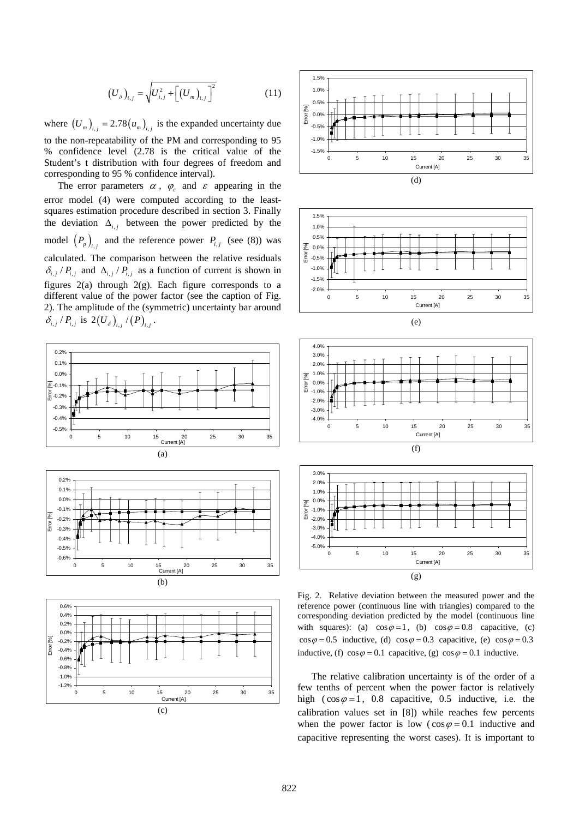$$
(U_{\delta})_{i,j} = \sqrt{U_{i,j}^2 + \left[ (U_m)_{i,j} \right]^2}
$$
 (11)

where  $(U_m)_{i,j} = 2.78 (u_m)_{i,j}$  is the expanded uncertainty due to the non-repeatability of the PM and corresponding to 95 % confidence level (2.78 is the critical value of the Student's t distribution with four degrees of freedom and corresponding to 95 % confidence interval).

The error parameters  $\alpha$ ,  $\varphi_c$  and  $\varepsilon$  appearing in the error model [\(4\)](#page-1-1) were computed according to the leastsquares estimation procedure described in section 3. Finally the deviation  $\Delta_{i,j}$  between the power predicted by the model  $(P_p)_{i,j}$  and the reference power  $P_{i,j}$  (see [\(8\)](#page-1-2)) was calculated. The comparison between the relative residuals  $\delta_{i,j}/P_{i,j}$  and  $\Delta_{i,j}/P_{i,j}$  as a function of current is shown in figures  $2(a)$  through  $2(g)$ . Each figure corresponds to a different value of the power factor (see the caption of Fig. 2). The amplitude of the (symmetric) uncertainty bar around  $\delta_{i,j}$  /  $P_{i,j}$  is 2(U<sub>s</sub>)<sub>ij</sub> / (P)<sub>ij</sub>.



(c)









Fig. 2. Relative deviation between the measured power and the reference power (continuous line with triangles) compared to the corresponding deviation predicted by the model (continuous line with squares): (a)  $\cos \varphi = 1$ , (b)  $\cos \varphi = 0.8$  capacitive, (c)  $\cos \varphi = 0.5$  inductive, (d)  $\cos \varphi = 0.3$  capacitive, (e)  $\cos \varphi = 0.3$ inductive, (f)  $\cos \varphi = 0.1$  capacitive, (g)  $\cos \varphi = 0.1$  inductive.

The relative calibration uncertainty is of the order of a few tenths of percent when the power factor is relatively high ( $\cos \varphi = 1$ , 0.8 capacitive, 0.5 inductive, i.e. the calibration values set in [8]) while reaches few percents when the power factor is low ( $\cos \varphi = 0.1$  inductive and capacitive representing the worst cases). It is important to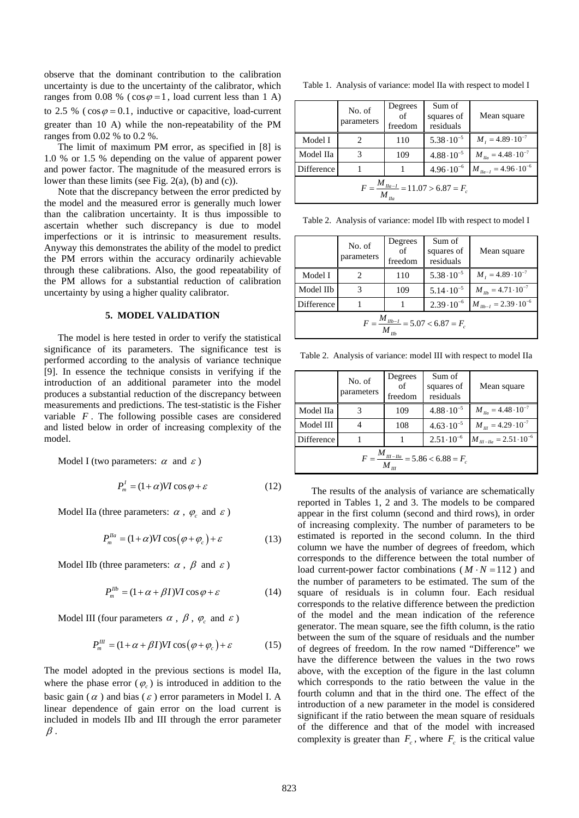observe that the dominant contribution to the calibration uncertainty is due to the uncertainty of the calibrator, which ranges from 0.08 % ( $\cos \varphi = 1$ , load current less than 1 A) to 2.5 % ( $\cos \varphi = 0.1$ , inductive or capacitive, load-current greater than 10 A) while the non-repeatability of the PM ranges from 0.02 % to 0.2 %.

The limit of maximum PM error, as specified in [8] is 1.0 % or 1.5 % depending on the value of apparent power and power factor. The magnitude of the measured errors is lower than these limits (see Fig. 2(a), (b) and (c)).

Note that the discrepancy between the error predicted by the model and the measured error is generally much lower than the calibration uncertainty. It is thus impossible to ascertain whether such discrepancy is due to model imperfections or it is intrinsic to measurement results. Anyway this demonstrates the ability of the model to predict the PM errors within the accuracy ordinarily achievable through these calibrations. Also, the good repeatability of the PM allows for a substantial reduction of calibration uncertainty by using a higher quality calibrator.

## **5. MODEL VALIDATION**

The model is here tested in order to verify the statistical significance of its parameters. The significance test is performed according to the analysis of variance technique [9]. In essence the technique consists in verifying if the introduction of an additional parameter into the model produces a substantial reduction of the discrepancy between measurements and predictions. The test-statistic is the Fisher variable *F* . The following possible cases are considered and listed below in order of increasing complexity of the model.

Model I (two parameters:  $\alpha$  and  $\varepsilon$ )

$$
P_n^I = (1 + \alpha)VI \cos \varphi + \varepsilon \tag{12}
$$

Model IIa (three parameters:  $\alpha$ ,  $\varphi_c$  and  $\varepsilon$ )

$$
P_m^{Ila} = (1 + \alpha)VI \cos(\varphi + \varphi_c) + \varepsilon \tag{13}
$$

Model IIb (three parameters:  $\alpha$ ,  $\beta$  and  $\varepsilon$ )

$$
P_m^{I\ell b} = (1 + \alpha + \beta I)VI\cos\varphi + \varepsilon\tag{14}
$$

Model III (four parameters  $\alpha$ ,  $\beta$ ,  $\varphi_c$  and  $\varepsilon$ )

$$
P_m^{III} = (1 + \alpha + \beta I)VI \cos(\varphi + \varphi_c) + \varepsilon \tag{15}
$$

The model adopted in the previous sections is model IIa, where the phase error  $(\varphi)$  is introduced in addition to the basic gain ( $\alpha$ ) and bias ( $\varepsilon$ ) error parameters in Model I. A linear dependence of gain error on the load current is included in models IIb and III through the error parameter  $\beta$ .

Table 1. Analysis of variance: model IIa with respect to model I

|                                                            | No. of<br>parameters | Degrees<br>$\sigma$<br>freedom | Sum of<br>squares of<br>residuals | Mean square                      |  |  |  |
|------------------------------------------------------------|----------------------|--------------------------------|-----------------------------------|----------------------------------|--|--|--|
| Model I                                                    |                      | 110                            | $5.38 \cdot 10^{-5}$              | $M_1 = 4.89 \cdot 10^{-7}$       |  |  |  |
| Model IIa                                                  | 3                    | 109                            | $4.88 \cdot 10^{-5}$              | $M_{\mu a} = 4.48 \cdot 10^{-7}$ |  |  |  |
| <b>Difference</b>                                          |                      |                                | $4.96 \cdot 10^{-6}$              | $M_{I/a-I} = 4.96 \cdot 10^{-6}$ |  |  |  |
| $F = \frac{M_{\text{I}}}{M_{\text{I}}}-11.07 > 6.87 = F_c$ |                      |                                |                                   |                                  |  |  |  |

Table 2. Analysis of variance: model IIb with respect to model I

|                                                                  | No. of<br>parameters | Degrees<br>of<br>freedom | Sum of<br>squares of<br>residuals | Mean square                           |  |  |  |
|------------------------------------------------------------------|----------------------|--------------------------|-----------------------------------|---------------------------------------|--|--|--|
| Model I                                                          |                      | 110                      | $5.38 \cdot 10^{-5}$              | $M_1 = 4.89 \cdot 10^{-7}$            |  |  |  |
| Model IIb                                                        | 3                    | 109                      | $5.14 \cdot 10^{-5}$              | $M_{_{I\!I\!D}} = 4.71 \cdot 10^{-7}$ |  |  |  |
| Difference                                                       |                      |                          | $2.39 \cdot 10^{-6}$              | $M_{I\ell b-I} = 2.39 \cdot 10^{-6}$  |  |  |  |
| $F = \frac{M_{I\mid b-I}}{B} = 5.07 < 6.87 = F_c$<br>$M_{\mu b}$ |                      |                          |                                   |                                       |  |  |  |

Table 2. Analysis of variance: model III with respect to model IIa

|                                                                                 | No. of<br>parameters | Degrees<br>of<br>freedom | Sum of<br>squares of<br>residuals | Mean square                           |  |  |  |
|---------------------------------------------------------------------------------|----------------------|--------------------------|-----------------------------------|---------------------------------------|--|--|--|
| Model IIa                                                                       |                      | 109                      | $4.88 \cdot 10^{-5}$              | $M_{I/a} = 4.48 \cdot 10^{-7}$        |  |  |  |
| Model III                                                                       |                      | 108                      | $4.63 \cdot 10^{-5}$              | $M_{\text{III}} = 4.29 \cdot 10^{-7}$ |  |  |  |
| Difference                                                                      |                      |                          | $2.51 \cdot 10^{-6}$              | $M_{_{III-IIa}} = 2.51 \cdot 10^{-6}$ |  |  |  |
| $F = \frac{M_{III-IIa}}{m} = 5.86 < 6.88 = F_c$<br>$M_{\scriptscriptstyle III}$ |                      |                          |                                   |                                       |  |  |  |

The results of the analysis of variance are schematically reported in Tables 1, 2 and 3. The models to be compared appear in the first column (second and third rows), in order of increasing complexity. The number of parameters to be estimated is reported in the second column. In the third column we have the number of degrees of freedom, which corresponds to the difference between the total number of load current-power factor combinations  $(M \cdot N = 112)$  and the number of parameters to be estimated. The sum of the square of residuals is in column four. Each residual corresponds to the relative difference between the prediction of the model and the mean indication of the reference generator. The mean square, see the fifth column, is the ratio between the sum of the square of residuals and the number of degrees of freedom. In the row named "Difference" we have the difference between the values in the two rows above, with the exception of the figure in the last column which corresponds to the ratio between the value in the fourth column and that in the third one. The effect of the introduction of a new parameter in the model is considered significant if the ratio between the mean square of residuals of the difference and that of the model with increased complexity is greater than  $F_c$ , where  $F_c$  is the critical value